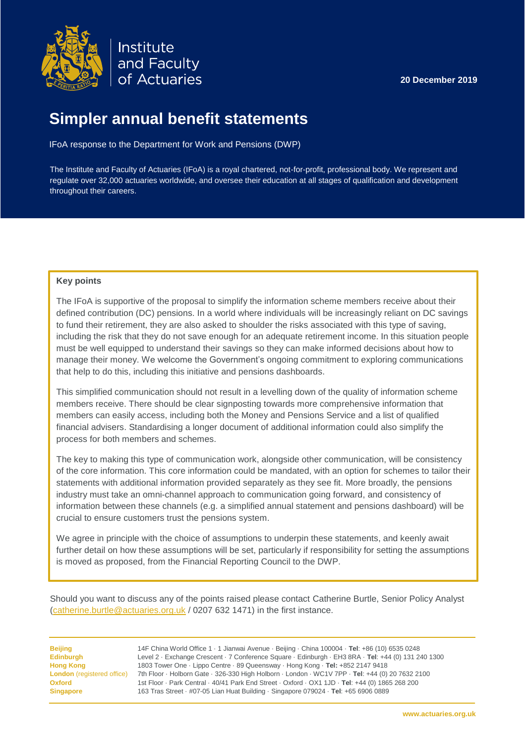

Institute and Faculty of Actuaries

**20 December 2019**

# **Simpler annual benefit statements**

IFoA response to the Department for Work and Pensions (DWP)

The Institute and Faculty of Actuaries (IFoA) is a royal chartered, not-for-profit, professional body. We represent and regulate over 32,000 actuaries worldwide, and oversee their education at all stages of qualification and development throughout their careers.

#### **Key points**

The IFoA is supportive of the proposal to simplify the information scheme members receive about their defined contribution (DC) pensions. In a world where individuals will be increasingly reliant on DC savings to fund their retirement, they are also asked to shoulder the risks associated with this type of saving, including the risk that they do not save enough for an adequate retirement income. In this situation people must be well equipped to understand their savings so they can make informed decisions about how to manage their money. We welcome the Government's ongoing commitment to exploring communications that help to do this, including this initiative and pensions dashboards.

This simplified communication should not result in a levelling down of the quality of information scheme members receive. There should be clear signposting towards more comprehensive information that members can easily access, including both the Money and Pensions Service and a list of qualified financial advisers. Standardising a longer document of additional information could also simplify the process for both members and schemes.

The key to making this type of communication work, alongside other communication, will be consistency of the core information. This core information could be mandated, with an option for schemes to tailor their statements with additional information provided separately as they see fit. More broadly, the pensions industry must take an omni-channel approach to communication going forward, and consistency of information between these channels (e.g. a simplified annual statement and pensions dashboard) will be crucial to ensure customers trust the pensions system.

We agree in principle with the choice of assumptions to underpin these statements, and keenly await further detail on how these assumptions will be set, particularly if responsibility for setting the assumptions is moved as proposed, from the Financial Reporting Council to the DWP.

Should you want to discuss any of the points raised please contact Catherine Burtle, Senior Policy Analyst [\(catherine.burtle@actuaries.org.uk](mailto:catherine.burtle@actuaries.org.uk) / 0207 632 1471) in the first instance.

**Beijing** 14F China World Office 1 · 1 Jianwai Avenue · Beijing · China 100004 · **Tel**: +86 (10) 6535 0248 **Edinburgh** Level 2 · Exchange Crescent · 7 Conference Square · Edinburgh · EH3 8RA · **Tel**: +44 (0) 131 240 1300 **Hong Kong** 1803 Tower One · Lippo Centre · 89 Queensway · Hong Kong · **Tel:** +852 2147 9418 **London** (registered office) 7th Floor · Holborn Gate · 326-330 High Holborn · London · WC1V 7PP · **Tel**: +44 (0) 20 7632 2100 **Oxford** 1st Floor · Park Central · 40/41 Park End Street · Oxford · OX1 1JD · **Tel**: +44 (0) 1865 268 200 **Singapore** 163 Tras Street · #07-05 Lian Huat Building · Singapore 079024 · **Tel**: +65 6906 0889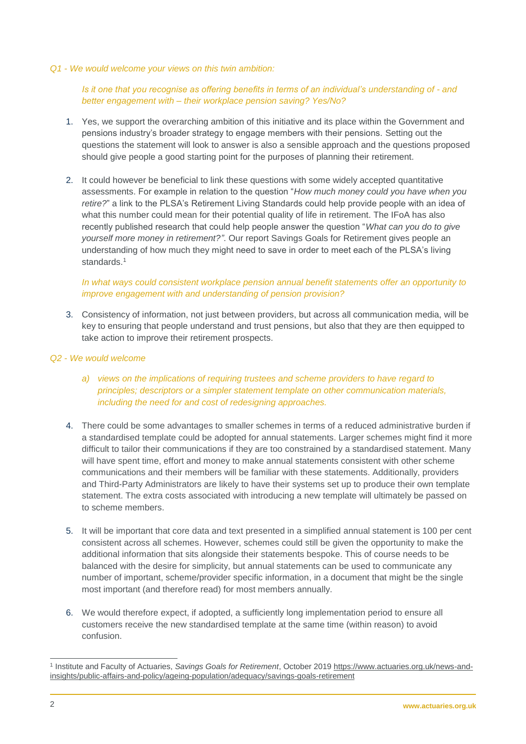#### *Q1 - We would welcome your views on this twin ambition:*

## *Is it one that you recognise as offering benefits in terms of an individual's understanding of - and better engagement with – their workplace pension saving? Yes/No?*

- 1. Yes, we support the overarching ambition of this initiative and its place within the Government and pensions industry's broader strategy to engage members with their pensions. Setting out the questions the statement will look to answer is also a sensible approach and the questions proposed should give people a good starting point for the purposes of planning their retirement.
- 2. It could however be beneficial to link these questions with some widely accepted quantitative assessments. For example in relation to the question "*How much money could you have when you retire?*" a link to the PLSA's Retirement Living Standards could help provide people with an idea of what this number could mean for their potential quality of life in retirement. The IFoA has also recently published research that could help people answer the question "*What can you do to give yourself more money in retirement?"*. Our report Savings Goals for Retirement gives people an understanding of how much they might need to save in order to meet each of the PLSA's living standards<sup>1</sup>

## *In what ways could consistent workplace pension annual benefit statements offer an opportunity to improve engagement with and understanding of pension provision?*

3. Consistency of information, not just between providers, but across all communication media, will be key to ensuring that people understand and trust pensions, but also that they are then equipped to take action to improve their retirement prospects.

#### *Q2 - We would welcome*

- *a) views on the implications of requiring trustees and scheme providers to have regard to principles; descriptors or a simpler statement template on other communication materials, including the need for and cost of redesigning approaches.*
- 4. There could be some advantages to smaller schemes in terms of a reduced administrative burden if a standardised template could be adopted for annual statements. Larger schemes might find it more difficult to tailor their communications if they are too constrained by a standardised statement. Many will have spent time, effort and money to make annual statements consistent with other scheme communications and their members will be familiar with these statements. Additionally, providers and Third-Party Administrators are likely to have their systems set up to produce their own template statement. The extra costs associated with introducing a new template will ultimately be passed on to scheme members.
- 5. It will be important that core data and text presented in a simplified annual statement is 100 per cent consistent across all schemes. However, schemes could still be given the opportunity to make the additional information that sits alongside their statements bespoke. This of course needs to be balanced with the desire for simplicity, but annual statements can be used to communicate any number of important, scheme/provider specific information, in a document that might be the single most important (and therefore read) for most members annually.
- 6. We would therefore expect, if adopted, a sufficiently long implementation period to ensure all customers receive the new standardised template at the same time (within reason) to avoid confusion.

<sup>-</sup>1 Institute and Faculty of Actuaries, *Savings Goals for Retirement*, October 201[9 https://www.actuaries.org.uk/news-and](https://www.actuaries.org.uk/news-and-insights/public-affairs-and-policy/ageing-population/adequacy/savings-goals-retirement)[insights/public-affairs-and-policy/ageing-population/adequacy/savings-goals-retirement](https://www.actuaries.org.uk/news-and-insights/public-affairs-and-policy/ageing-population/adequacy/savings-goals-retirement)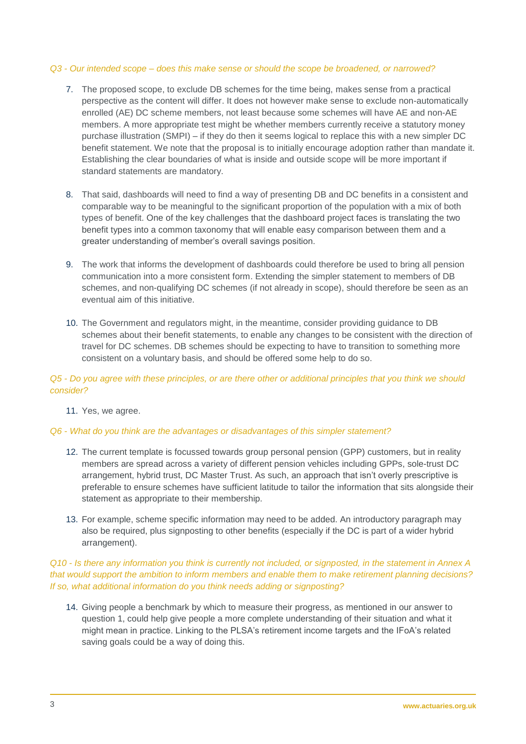#### *Q3 - Our intended scope – does this make sense or should the scope be broadened, or narrowed?*

- 7. The proposed scope, to exclude DB schemes for the time being, makes sense from a practical perspective as the content will differ. It does not however make sense to exclude non-automatically enrolled (AE) DC scheme members, not least because some schemes will have AE and non-AE members. A more appropriate test might be whether members currently receive a statutory money purchase illustration (SMPI) – if they do then it seems logical to replace this with a new simpler DC benefit statement. We note that the proposal is to initially encourage adoption rather than mandate it. Establishing the clear boundaries of what is inside and outside scope will be more important if standard statements are mandatory.
- 8. That said, dashboards will need to find a way of presenting DB and DC benefits in a consistent and comparable way to be meaningful to the significant proportion of the population with a mix of both types of benefit. One of the key challenges that the dashboard project faces is translating the two benefit types into a common taxonomy that will enable easy comparison between them and a greater understanding of member's overall savings position.
- 9. The work that informs the development of dashboards could therefore be used to bring all pension communication into a more consistent form. Extending the simpler statement to members of DB schemes, and non-qualifying DC schemes (if not already in scope), should therefore be seen as an eventual aim of this initiative.
- 10. The Government and regulators might, in the meantime, consider providing guidance to DB schemes about their benefit statements, to enable any changes to be consistent with the direction of travel for DC schemes. DB schemes should be expecting to have to transition to something more consistent on a voluntary basis, and should be offered some help to do so.

## *Q5 - Do you agree with these principles, or are there other or additional principles that you think we should consider?*

## 11. Yes, we agree.

## *Q6 - What do you think are the advantages or disadvantages of this simpler statement?*

- 12. The current template is focussed towards group personal pension (GPP) customers, but in reality members are spread across a variety of different pension vehicles including GPPs, sole-trust DC arrangement, hybrid trust, DC Master Trust. As such, an approach that isn't overly prescriptive is preferable to ensure schemes have sufficient latitude to tailor the information that sits alongside their statement as appropriate to their membership.
- 13. For example, scheme specific information may need to be added. An introductory paragraph may also be required, plus signposting to other benefits (especially if the DC is part of a wider hybrid arrangement).

## *Q10 - Is there any information you think is currently not included, or signposted, in the statement in Annex A that would support the ambition to inform members and enable them to make retirement planning decisions? If so, what additional information do you think needs adding or signposting?*

14. Giving people a benchmark by which to measure their progress, as mentioned in our answer to question 1, could help give people a more complete understanding of their situation and what it might mean in practice. Linking to the PLSA's retirement income targets and the IFoA's related saving goals could be a way of doing this.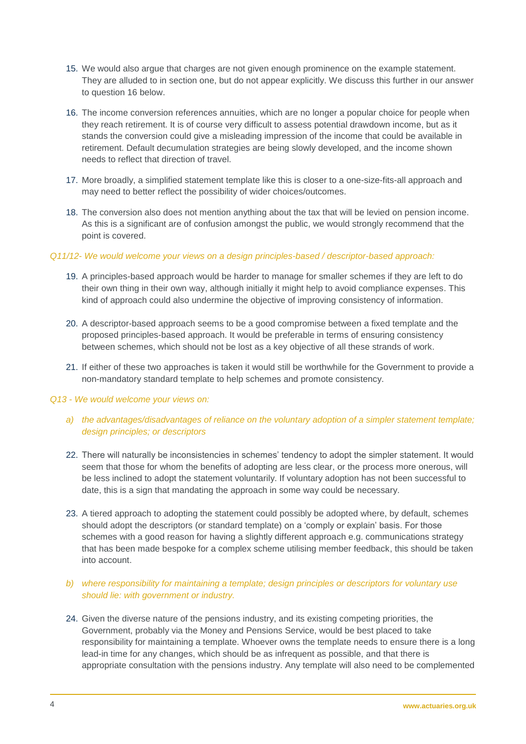- 15. We would also argue that charges are not given enough prominence on the example statement. They are alluded to in section one, but do not appear explicitly. We discuss this further in our answer to question 16 below.
- 16. The income conversion references annuities, which are no longer a popular choice for people when they reach retirement. It is of course very difficult to assess potential drawdown income, but as it stands the conversion could give a misleading impression of the income that could be available in retirement. Default decumulation strategies are being slowly developed, and the income shown needs to reflect that direction of travel.
- 17. More broadly, a simplified statement template like this is closer to a one-size-fits-all approach and may need to better reflect the possibility of wider choices/outcomes.
- 18. The conversion also does not mention anything about the tax that will be levied on pension income. As this is a significant are of confusion amongst the public, we would strongly recommend that the point is covered.

#### *Q11/12- We would welcome your views on a design principles-based / descriptor-based approach:*

- 19. A principles-based approach would be harder to manage for smaller schemes if they are left to do their own thing in their own way, although initially it might help to avoid compliance expenses. This kind of approach could also undermine the objective of improving consistency of information.
- 20. A descriptor-based approach seems to be a good compromise between a fixed template and the proposed principles-based approach. It would be preferable in terms of ensuring consistency between schemes, which should not be lost as a key objective of all these strands of work.
- 21. If either of these two approaches is taken it would still be worthwhile for the Government to provide a non-mandatory standard template to help schemes and promote consistency.

#### *Q13 - We would welcome your views on:*

- *a) the advantages/disadvantages of reliance on the voluntary adoption of a simpler statement template; design principles; or descriptors*
- 22. There will naturally be inconsistencies in schemes' tendency to adopt the simpler statement. It would seem that those for whom the benefits of adopting are less clear, or the process more onerous, will be less inclined to adopt the statement voluntarily. If voluntary adoption has not been successful to date, this is a sign that mandating the approach in some way could be necessary.
- 23. A tiered approach to adopting the statement could possibly be adopted where, by default, schemes should adopt the descriptors (or standard template) on a 'comply or explain' basis. For those schemes with a good reason for having a slightly different approach e.g. communications strategy that has been made bespoke for a complex scheme utilising member feedback, this should be taken into account.
- *b) where responsibility for maintaining a template; design principles or descriptors for voluntary use should lie: with government or industry.*
- 24. Given the diverse nature of the pensions industry, and its existing competing priorities, the Government, probably via the Money and Pensions Service, would be best placed to take responsibility for maintaining a template. Whoever owns the template needs to ensure there is a long lead-in time for any changes, which should be as infrequent as possible, and that there is appropriate consultation with the pensions industry. Any template will also need to be complemented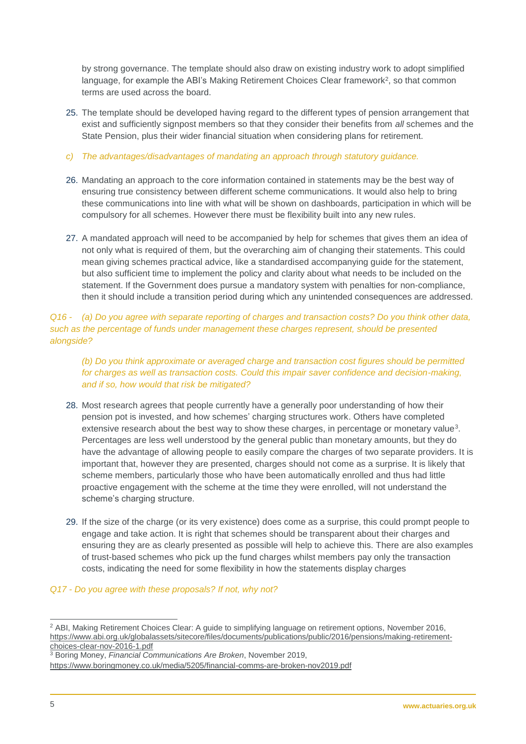by strong governance. The template should also draw on existing industry work to adopt simplified language, for example the ABI's Making Retirement Choices Clear framework<sup>2</sup>, so that common terms are used across the board.

- 25. The template should be developed having regard to the different types of pension arrangement that exist and sufficiently signpost members so that they consider their benefits from *all* schemes and the State Pension, plus their wider financial situation when considering plans for retirement.
- *c) The advantages/disadvantages of mandating an approach through statutory guidance.*
- 26. Mandating an approach to the core information contained in statements may be the best way of ensuring true consistency between different scheme communications. It would also help to bring these communications into line with what will be shown on dashboards, participation in which will be compulsory for all schemes. However there must be flexibility built into any new rules.
- 27. A mandated approach will need to be accompanied by help for schemes that gives them an idea of not only what is required of them, but the overarching aim of changing their statements. This could mean giving schemes practical advice, like a standardised accompanying guide for the statement, but also sufficient time to implement the policy and clarity about what needs to be included on the statement. If the Government does pursue a mandatory system with penalties for non-compliance, then it should include a transition period during which any unintended consequences are addressed.

*Q16 - (a) Do you agree with separate reporting of charges and transaction costs? Do you think other data, such as the percentage of funds under management these charges represent, should be presented alongside?* 

*(b) Do you think approximate or averaged charge and transaction cost figures should be permitted for charges as well as transaction costs. Could this impair saver confidence and decision-making, and if so, how would that risk be mitigated?*

- 28. Most research agrees that people currently have a generally poor understanding of how their pension pot is invested, and how schemes' charging structures work. Others have completed extensive research about the best way to show these charges, in percentage or monetary value<sup>3</sup>. Percentages are less well understood by the general public than monetary amounts, but they do have the advantage of allowing people to easily compare the charges of two separate providers. It is important that, however they are presented, charges should not come as a surprise. It is likely that scheme members, particularly those who have been automatically enrolled and thus had little proactive engagement with the scheme at the time they were enrolled, will not understand the scheme's charging structure.
- 29. If the size of the charge (or its very existence) does come as a surprise, this could prompt people to engage and take action. It is right that schemes should be transparent about their charges and ensuring they are as clearly presented as possible will help to achieve this. There are also examples of trust-based schemes who pick up the fund charges whilst members pay only the transaction costs, indicating the need for some flexibility in how the statements display charges

## *Q17 - Do you agree with these proposals? If not, why not?*

-<sup>2</sup> ABI, Making Retirement Choices Clear: A guide to simplifying language on retirement options, November 2016, [https://www.abi.org.uk/globalassets/sitecore/files/documents/publications/public/2016/pensions/making-retirement](https://www.abi.org.uk/globalassets/sitecore/files/documents/publications/public/2016/pensions/making-retirement-choices-clear-nov-2016-1.pdf)[choices-clear-nov-2016-1.pdf](https://www.abi.org.uk/globalassets/sitecore/files/documents/publications/public/2016/pensions/making-retirement-choices-clear-nov-2016-1.pdf)

<sup>3</sup> Boring Money, *Financial Communications Are Broken*, November 2019, <https://www.boringmoney.co.uk/media/5205/financial-comms-are-broken-nov2019.pdf>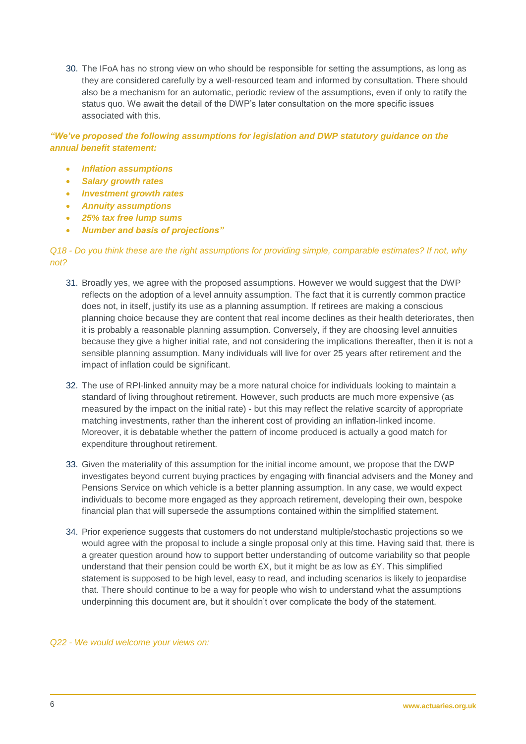30. The IFoA has no strong view on who should be responsible for setting the assumptions, as long as they are considered carefully by a well-resourced team and informed by consultation. There should also be a mechanism for an automatic, periodic review of the assumptions, even if only to ratify the status quo. We await the detail of the DWP's later consultation on the more specific issues associated with this.

*"We've proposed the following assumptions for legislation and DWP statutory guidance on the annual benefit statement:* 

- *Inflation assumptions*
- *Salary growth rates*
- *Investment growth rates*
- *Annuity assumptions*
- *25% tax free lump sums*
- *Number and basis of projections"*

## *Q18 - Do you think these are the right assumptions for providing simple, comparable estimates? If not, why not?*

- 31. Broadly yes, we agree with the proposed assumptions. However we would suggest that the DWP reflects on the adoption of a level annuity assumption. The fact that it is currently common practice does not, in itself, justify its use as a planning assumption. If retirees are making a conscious planning choice because they are content that real income declines as their health deteriorates, then it is probably a reasonable planning assumption. Conversely, if they are choosing level annuities because they give a higher initial rate, and not considering the implications thereafter, then it is not a sensible planning assumption. Many individuals will live for over 25 years after retirement and the impact of inflation could be significant.
- 32. The use of RPI-linked annuity may be a more natural choice for individuals looking to maintain a standard of living throughout retirement. However, such products are much more expensive (as measured by the impact on the initial rate) - but this may reflect the relative scarcity of appropriate matching investments, rather than the inherent cost of providing an inflation-linked income. Moreover, it is debatable whether the pattern of income produced is actually a good match for expenditure throughout retirement.
- 33. Given the materiality of this assumption for the initial income amount, we propose that the DWP investigates beyond current buying practices by engaging with financial advisers and the Money and Pensions Service on which vehicle is a better planning assumption. In any case, we would expect individuals to become more engaged as they approach retirement, developing their own, bespoke financial plan that will supersede the assumptions contained within the simplified statement.
- 34. Prior experience suggests that customers do not understand multiple/stochastic projections so we would agree with the proposal to include a single proposal only at this time. Having said that, there is a greater question around how to support better understanding of outcome variability so that people understand that their pension could be worth  $EX$ , but it might be as low as  $EY$ . This simplified statement is supposed to be high level, easy to read, and including scenarios is likely to jeopardise that. There should continue to be a way for people who wish to understand what the assumptions underpinning this document are, but it shouldn't over complicate the body of the statement.

#### *Q22 - We would welcome your views on:*